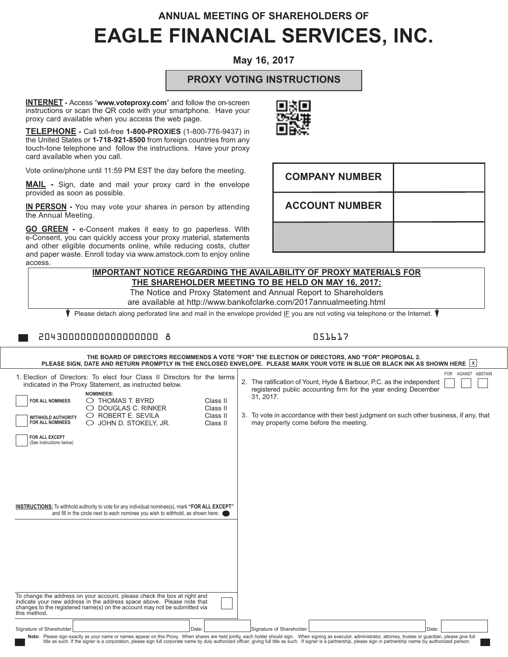# **ANNUAL MEETING OF SHAREHOLDERS OF EAGLE FINANCIAL SERVICES, INC.**

# **May 16, 2017**

## **PROXY VOTING INSTRUCTIONS**

**INTERNET -** Access "**www.voteproxy.com**" and follow the on-screen instructions or scan the QR code with your smartphone. Have your proxy card available when you access the web page.

**TELEPHONE -** Call toll-free **1-800-PROXIES** (1-800-776-9437) in the United States or **1-718-921-8500** from foreign countries from any touch-tone telephone and follow the instructions. Have your proxy card available when you call.

Vote online/phone until 11:59 PM EST the day before the meeting.

**MAIL -** Sign, date and mail your proxy card in the envelope provided as soon as possible.

**IN PERSON -** You may vote your shares in person by attending the Annual Meeting.

**GO GREEN -** e-Consent makes it easy to go paperless. With e-Consent, you can quickly access your proxy material, statements and other eligible documents online, while reducing costs, clutter and paper waste. Enroll today via www.amstock.com to enjoy online access.

# **ACCOUNT NUMBER IMPORTANT NOTICE REGARDING THE AVAILABILITY OF PROXY MATERIALS FOR**

**COMPANY NUMBER**

**THE SHAREHOLDER MEETING TO BE HELD ON MAY 16, 2017:** The Notice and Proxy Statement and Annual Report to Shareholders

are available at http://www.bankofclarke.com/2017annualmeeting.html

Please detach along perforated line and mail in the envelope provided IF you are not voting via telephone or the Internet.

### 20430000000000000000 8 051617

| THE BOARD OF DIRECTORS RECOMMENDS A VOTE "FOR" THE ELECTION OF DIRECTORS, AND "FOR" PROPOSAL 2.<br>PLEASE SIGN, DATE AND RETURN PROMPTLY IN THE ENCLOSED ENVELOPE. PLEASE MARK YOUR VOTE IN BLUE OR BLACK INK AS SHOWN HERE $ X $                                                                                                                                                                                                                                            |                                              |                                                                                                                                                                                                                                                                                                                                                                                                                                                                                       |
|------------------------------------------------------------------------------------------------------------------------------------------------------------------------------------------------------------------------------------------------------------------------------------------------------------------------------------------------------------------------------------------------------------------------------------------------------------------------------|----------------------------------------------|---------------------------------------------------------------------------------------------------------------------------------------------------------------------------------------------------------------------------------------------------------------------------------------------------------------------------------------------------------------------------------------------------------------------------------------------------------------------------------------|
| 1. Election of Directors: To elect four Class II Directors for the terms<br>indicated in the Proxy Statement, as instructed below.<br><b>NOMINEES:</b><br>$\bigcirc$ THOMAS T. BYRD<br>FOR ALL NOMINEES<br>DOUGLAS C. RINKER<br>$\bigcirc$ ROBERT E. SEVILA<br><b>WITHHOLD AUTHORITY</b><br><b>FOR ALL NOMINEES</b><br>JOHN D. STOKELY, JR.<br>FOR ALL EXCEPT<br>(See instructions below)                                                                                    | Class II<br>Class II<br>Class II<br>Class II | FOR AGAINST ABSTAIN<br>2. The ratification of Yount, Hyde & Barbour, P.C. as the independent<br>registered public accounting firm for the year ending December<br>31, 2017.<br>3. To vote in accordance with their best judgment on such other business, if any, that<br>may properly come before the meeting.                                                                                                                                                                        |
| INSTRUCTIONS: To withhold authority to vote for any individual nominee(s), mark "FOR ALL EXCEPT"<br>and fill in the circle next to each nominee you wish to withhold, as shown here:<br>To change the address on your account, please check the box at right and<br>indicate your new address in the address space above. Please note that<br>changes to the registered name(s) on the account may not be submitted via<br>this method.<br>Signature of Shareholder<br>Date: |                                              | Signature of Shareholder<br>Date:<br>Note: Please sign exactly as your name or names appear on this Proxy. When shares are held jointly, each holder should sign. When signing as executor, administrator, attorney, trustee or guardian, please give full<br>title as such. If the signer is a corporation, please sign full corporate name by duly authorized officer, giving full title as such. If signer is a partnership, please sign in partnership name by authorized person. |